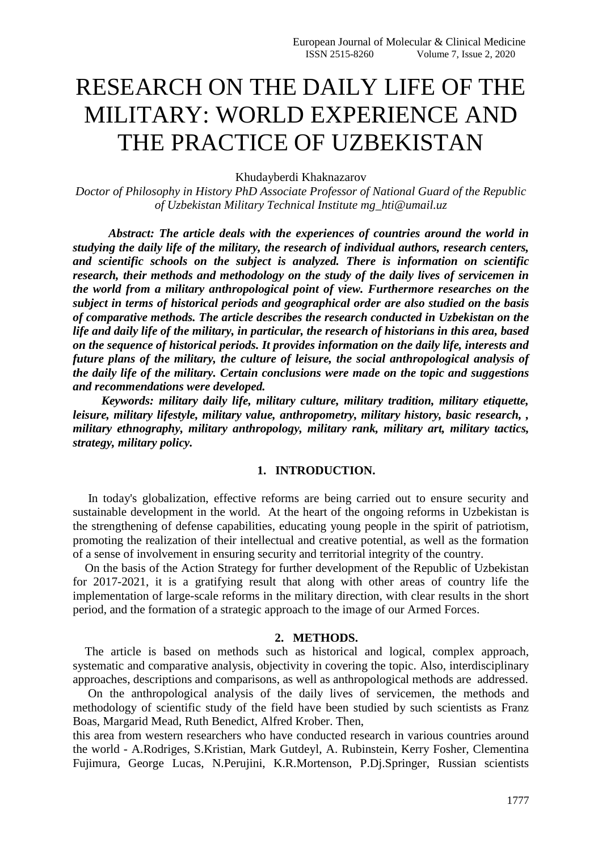# RESEARCH ON THE DAILY LIFE OF THE MILITARY: WORLD EXPERIENCE AND THE PRACTICE OF UZBEKISTAN

Khudayberdi Khaknazarov

*Doctor of Philosophy in History PhD Associate Professor of National Guard of the Republic of Uzbekistan Military Technical Institute mg\_hti@umail.uz*

*Abstract: The article deals with the experiences of countries around the world in studying the daily life of the military, the research of individual authors, research centers, and scientific schools on the subject is analyzed. There is information on scientific research, their methods and methodology on the study of the daily lives of servicemen in the world from a military anthropological point of view. Furthermore researches on the subject in terms of historical periods and geographical order are also studied on the basis of comparative methods. The article describes the research conducted in Uzbekistan on the life and daily life of the military, in particular, the research of historians in this area, based on the sequence of historical periods. It provides information on the daily life, interests and future plans of the military, the culture of leisure, the social anthropological analysis of the daily life of the military. Certain conclusions were made on the topic and suggestions and recommendations were developed.*

*Keywords: military daily life, military culture, military tradition, military etiquette, leisure, military lifestyle, military value, anthropometry, military history, basic research, , military ethnography, military anthropology, military rank, military art, military tactics, strategy, military policy.*

## **1. INTRODUCTION.**

 In today's globalization, effective reforms are being carried out to ensure security and sustainable development in the world. At the heart of the ongoing reforms in Uzbekistan is the strengthening of defense capabilities, educating young people in the spirit of patriotism, promoting the realization of their intellectual and creative potential, as well as the formation of a sense of involvement in ensuring security and territorial integrity of the country.

 On the basis of the Action Strategy for further development of the Republic of Uzbekistan for 2017-2021, it is a gratifying result that along with other areas of country life the implementation of large-scale reforms in the military direction, with clear results in the short period, and the formation of a strategic approach to the image of our Armed Forces.

### **2. METHODS.**

 The article is based on methods such as historical and logical, complex approach, systematic and comparative analysis, objectivity in covering the topic. Also, interdisciplinary approaches, descriptions and comparisons, as well as anthropological methods are addressed.

 On the anthropological analysis of the daily lives of servicemen, the methods and methodology of scientific study of the field have been studied by such scientists as Franz Boas, Margarid Mead, Ruth Benedict, Alfred Krober. Then,

this area from western researchers who have conducted research in various countries around the world - A.Rodriges, S.Kristian, Mark Gutdeyl, A. Rubinstein, Kerry Fosher, Clementina Fujimura, George Lucas, N.Perujini, K.R.Mortenson, P.Dj.Springer, Russian scientists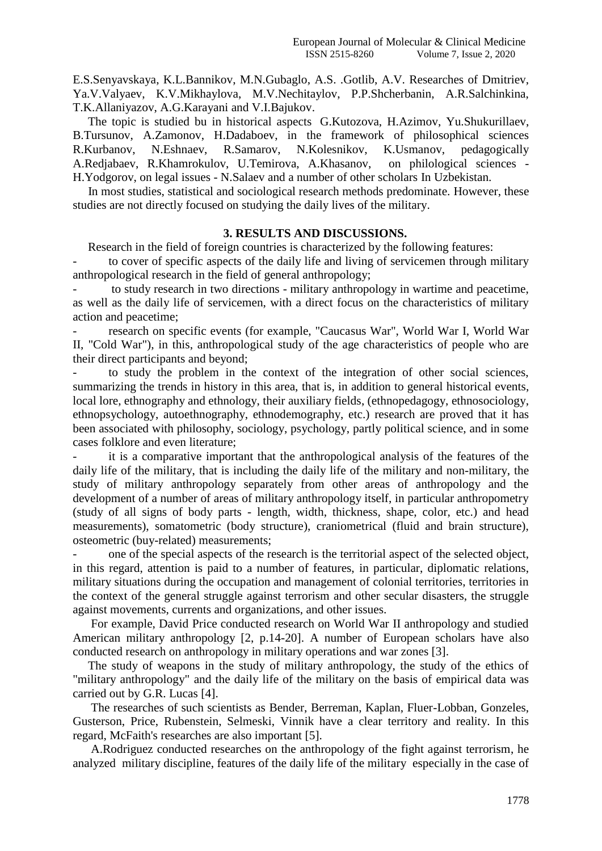E.S.Senyavskaya, K.L.Bannikov, M.N.Gubaglo, A.S. .Gotlib, A.V. Researches of Dmitriev, Ya.V.Valyaev, K.V.Mikhaylova, M.V.Nechitaylov, P.P.Shcherbanin, A.R.Salchinkina, T.K.Allaniyazov, A.G.Karayani and V.I.Bajukov.

 The topic is studied bu in historical aspects G.Kutozova, H.Azimov, Yu.Shukurillaev, B.Tursunov, A.Zamonov, H.Dadaboev, in the framework of philosophical sciences R.Kurbanov, N.Eshnaev, R.Samarov, N.Kolesnikov, K.Usmanov, pedagogically A.Redjabaev, R.Khamrokulov, U.Temirova, A.Khasanov, on philological sciences - H.Yodgorov, on legal issues - N.Salaev and a number of other scholars In Uzbekistan.

 In most studies, statistical and sociological research methods predominate. However, these studies are not directly focused on studying the daily lives of the military.

## **3. RESULTS AND DISCUSSIONS.**

Research in the field of foreign countries is characterized by the following features:

- to cover of specific aspects of the daily life and living of servicemen through military anthropological research in the field of general anthropology;

to study research in two directions - military anthropology in wartime and peacetime, as well as the daily life of servicemen, with a direct focus on the characteristics of military action and peacetime;

research on specific events (for example, "Caucasus War", World War I, World War II, "Cold War"), in this, anthropological study of the age characteristics of people who are their direct participants and beyond;

to study the problem in the context of the integration of other social sciences, summarizing the trends in history in this area, that is, in addition to general historical events, local lore, ethnography and ethnology, their auxiliary fields, (ethnopedagogy, ethnosociology, ethnopsychology, autoethnography, ethnodemography, etc.) research are proved that it has been associated with philosophy, sociology, psychology, partly political science, and in some cases folklore and even literature;

- it is a comparative important that the anthropological analysis of the features of the daily life of the military, that is including the daily life of the military and non-military, the study of military anthropology separately from other areas of anthropology and the development of a number of areas of military anthropology itself, in particular anthropometry (study of all signs of body parts - length, width, thickness, shape, color, etc.) and head measurements), somatometric (body structure), craniometrical (fluid and brain structure), osteometric (buy-related) measurements;

one of the special aspects of the research is the territorial aspect of the selected object, in this regard, attention is paid to a number of features, in particular, diplomatic relations, military situations during the occupation and management of colonial territories, territories in the context of the general struggle against terrorism and other secular disasters, the struggle against movements, currents and organizations, and other issues.

 For example, David Price conducted research on World War II anthropology and studied American military anthropology [2, p.14-20]. A number of European scholars have also conducted research on anthropology in military operations and war zones [3].

 The study of weapons in the study of military anthropology, the study of the ethics of "military anthropology" and the daily life of the military on the basis of empirical data was carried out by G.R. Lucas [4].

 The researches of such scientists as Bender, Berreman, Kaplan, Fluer-Lobban, Gonzeles, Gusterson, Price, Rubenstein, Selmeski, Vinnik have a clear territory and reality. In this regard, McFaith's researches are also important [5].

 A.Rodriguez conducted researches on the anthropology of the fight against terrorism, he analyzed military discipline, features of the daily life of the military especially in the case of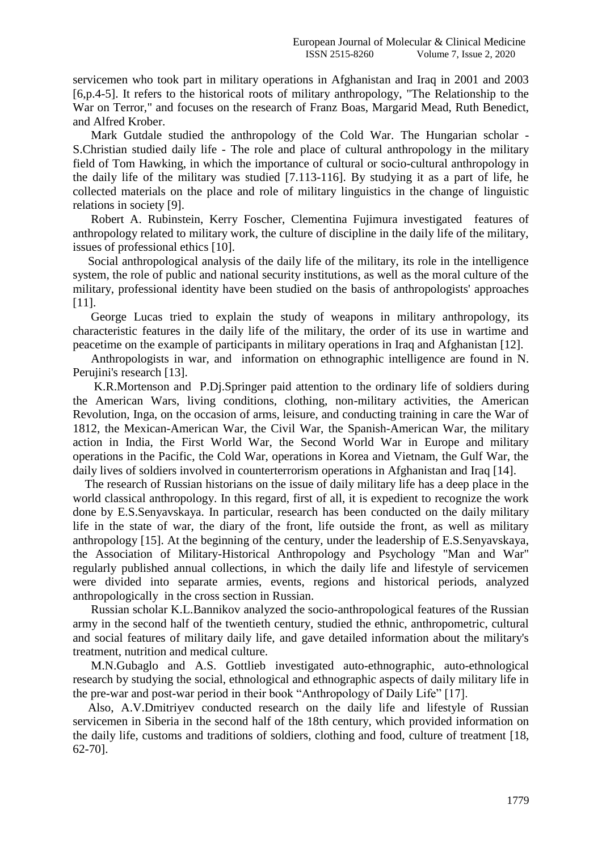servicemen who took part in military operations in Afghanistan and Iraq in 2001 and 2003 [6,p.4-5]. It refers to the historical roots of military anthropology, "The Relationship to the War on Terror," and focuses on the research of Franz Boas, Margarid Mead, Ruth Benedict, and Alfred Krober.

 Mark Gutdale studied the anthropology of the Cold War. The Hungarian scholar - S.Christian studied daily life - The role and place of cultural anthropology in the military field of Tom Hawking, in which the importance of cultural or socio-cultural anthropology in the daily life of the military was studied [7.113-116]. By studying it as a part of life, he collected materials on the place and role of military linguistics in the change of linguistic relations in society [9].

 Robert A. Rubinstein, Kerry Foscher, Clementina Fujimura investigated features of anthropology related to military work, the culture of discipline in the daily life of the military, issues of professional ethics [10].

 Social anthropological analysis of the daily life of the military, its role in the intelligence system, the role of public and national security institutions, as well as the moral culture of the military, professional identity have been studied on the basis of anthropologists' approaches [11].

 George Lucas tried to explain the study of weapons in military anthropology, its characteristic features in the daily life of the military, the order of its use in wartime and peacetime on the example of participants in military operations in Iraq and Afghanistan [12].

 Anthropologists in war, and information on ethnographic intelligence are found in N. Perujini's research [13].

 K.R.Mortenson and P.Dj.Springer paid attention to the ordinary life of soldiers during the American Wars, living conditions, clothing, non-military activities, the American Revolution, Inga, on the occasion of arms, leisure, and conducting training in care the War of 1812, the Mexican-American War, the Civil War, the Spanish-American War, the military action in India, the First World War, the Second World War in Europe and military operations in the Pacific, the Cold War, operations in Korea and Vietnam, the Gulf War, the daily lives of soldiers involved in counterterrorism operations in Afghanistan and Iraq [14].

 The research of Russian historians on the issue of daily military life has a deep place in the world classical anthropology. In this regard, first of all, it is expedient to recognize the work done by E.S.Senyavskaya. In particular, research has been conducted on the daily military life in the state of war, the diary of the front, life outside the front, as well as military anthropology [15]. At the beginning of the century, under the leadership of E.S.Senyavskaya, the Association of Military-Historical Anthropology and Psychology "Man and War" regularly published annual collections, in which the daily life and lifestyle of servicemen were divided into separate armies, events, regions and historical periods, analyzed anthropologically in the cross section in Russian.

 Russian scholar K.L.Bannikov analyzed the socio-anthropological features of the Russian army in the second half of the twentieth century, studied the ethnic, anthropometric, cultural and social features of military daily life, and gave detailed information about the military's treatment, nutrition and medical culture.

 M.N.Gubaglo and A.S. Gottlieb investigated auto-ethnographic, auto-ethnological research by studying the social, ethnological and ethnographic aspects of daily military life in the pre-war and post-war period in their book "Anthropology of Daily Life" [17].

 Also, A.V.Dmitriyev conducted research on the daily life and lifestyle of Russian servicemen in Siberia in the second half of the 18th century, which provided information on the daily life, customs and traditions of soldiers, clothing and food, culture of treatment [18, 62-70].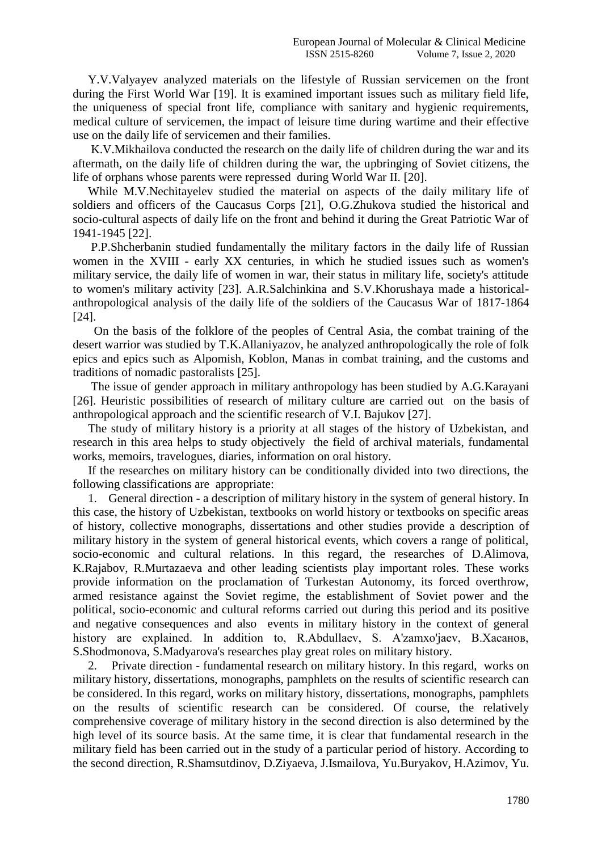Y.V.Valyayev analyzed materials on the lifestyle of Russian servicemen on the front during the First World War [19]. It is examined important issues such as military field life, the uniqueness of special front life, compliance with sanitary and hygienic requirements, medical culture of servicemen, the impact of leisure time during wartime and their effective use on the daily life of servicemen and their families.

 K.V.Mikhailova conducted the research on the daily life of children during the war and its aftermath, on the daily life of children during the war, the upbringing of Soviet citizens, the life of orphans whose parents were repressed during World War II. [20].

 While M.V.Nechitayelev studied the material on aspects of the daily military life of soldiers and officers of the Caucasus Corps [21], O.G.Zhukova studied the historical and socio-cultural aspects of daily life on the front and behind it during the Great Patriotic War of 1941-1945 [22].

 P.P.Shcherbanin studied fundamentally the military factors in the daily life of Russian women in the XVIII - early XX centuries, in which he studied issues such as women's military service, the daily life of women in war, their status in military life, society's attitude to women's military activity [23]. A.R.Salchinkina and S.V.Khorushaya made a historicalanthropological analysis of the daily life of the soldiers of the Caucasus War of 1817-1864 [24].

 On the basis of the folklore of the peoples of Central Asia, the combat training of the desert warrior was studied by T.K.Allaniyazov, he analyzed anthropologically the role of folk epics and epics such as Alpomish, Koblon, Manas in combat training, and the customs and traditions of nomadic pastoralists [25].

 The issue of gender approach in military anthropology has been studied by A.G.Karayani [26]. Heuristic possibilities of research of military culture are carried out on the basis of anthropological approach and the scientific research of V.I. Bajukov [27].

 The study of military history is a priority at all stages of the history of Uzbekistan, and research in this area helps to study objectively the field of archival materials, fundamental works, memoirs, travelogues, diaries, information on oral history.

 If the researches on military history can be conditionally divided into two directions, the following classifications are appropriate:

1. General direction - a description of military history in the system of general history. In this case, the history of Uzbekistan, textbooks on world history or textbooks on specific areas of history, collective monographs, dissertations and other studies provide a description of military history in the system of general historical events, which covers a range of political, socio-economic and cultural relations. In this regard, the researches of D.Alimova, K.Rajabov, R.Murtazaeva and other leading scientists play important roles. These works provide information on the proclamation of Turkestan Autonomy, its forced overthrow, armed resistance against the Soviet regime, the establishment of Soviet power and the political, socio-economic and cultural reforms carried out during this period and its positive and negative consequences and also events in military history in the context of general history are explained. In addition to, R.Abdullaev, S. A'zamxo'jaev, B.Хасанов, S.Shodmonova, S.Madyarova's researches play great roles on military history.

2. Private direction - fundamental research on military history. In this regard, works on military history, dissertations, monographs, pamphlets on the results of scientific research can be considered. In this regard, works on military history, dissertations, monographs, pamphlets on the results of scientific research can be considered. Of course, the relatively comprehensive coverage of military history in the second direction is also determined by the high level of its source basis. At the same time, it is clear that fundamental research in the military field has been carried out in the study of a particular period of history. According to the second direction, R.Shamsutdinov, D.Ziyaeva, J.Ismailova, Yu.Buryakov, H.Azimov, Yu.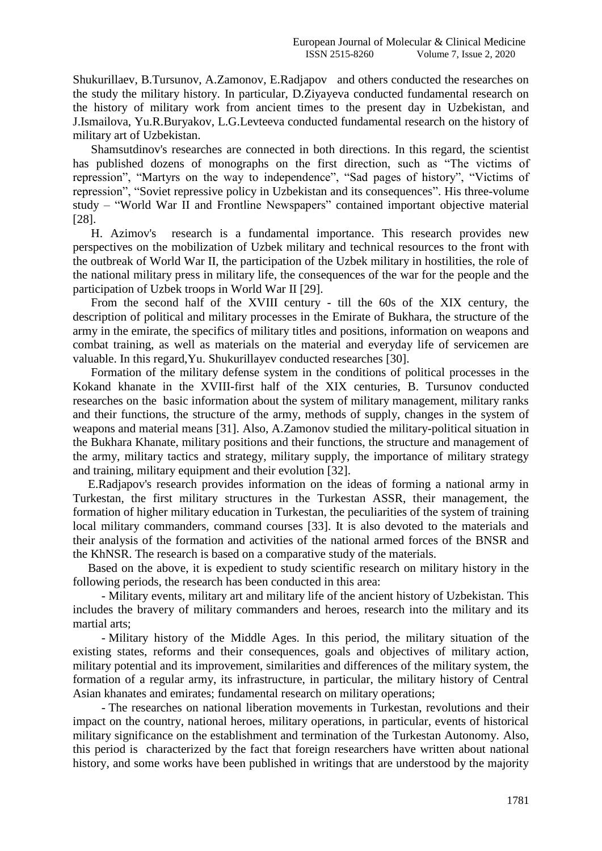Shukurillaev, B.Tursunov, A.Zamonov, E.Radjapov and others conducted the researches on the study the military history. In particular, D.Ziyayeva conducted fundamental research on the history of military work from ancient times to the present day in Uzbekistan, and J.Ismailova, Yu.R.Buryakov, L.G.Levteeva conducted fundamental research on the history of military art of Uzbekistan.

 Shamsutdinov's researches are connected in both directions. In this regard, the scientist has published dozens of monographs on the first direction, such as "The victims of repression", "Martyrs on the way to independence", "Sad pages of history", "Victims of repression", "Soviet repressive policy in Uzbekistan and its consequences". His three-volume study – "World War II and Frontline Newspapers" contained important objective material [28].

 H. Azimov's research is a fundamental importance. This research provides new perspectives on the mobilization of Uzbek military and technical resources to the front with the outbreak of World War II, the participation of the Uzbek military in hostilities, the role of the national military press in military life, the consequences of the war for the people and the participation of Uzbek troops in World War II [29].

 From the second half of the XVIII century - till the 60s of the XIX century, the description of political and military processes in the Emirate of Bukhara, the structure of the army in the emirate, the specifics of military titles and positions, information on weapons and combat training, as well as materials on the material and everyday life of servicemen are valuable. In this regard,Yu. Shukurillayev conducted researches [30].

 Formation of the military defense system in the conditions of political processes in the Kokand khanate in the XVIII-first half of the XIX centuries, B. Tursunov conducted researches on the basic information about the system of military management, military ranks and their functions, the structure of the army, methods of supply, changes in the system of weapons and material means [31]. Also, A.Zamonov studied the military-political situation in the Bukhara Khanate, military positions and their functions, the structure and management of the army, military tactics and strategy, military supply, the importance of military strategy and training, military equipment and their evolution [32].

 E.Radjapov's research provides information on the ideas of forming a national army in Turkestan, the first military structures in the Turkestan ASSR, their management, the formation of higher military education in Turkestan, the peculiarities of the system of training local military commanders, command courses [33]. It is also devoted to the materials and their analysis of the formation and activities of the national armed forces of the BNSR and the KhNSR. The research is based on a comparative study of the materials.

 Based on the above, it is expedient to study scientific research on military history in the following periods, the research has been conducted in this area:

- Military events, military art and military life of the ancient history of Uzbekistan. This includes the bravery of military commanders and heroes, research into the military and its martial arts;

- Military history of the Middle Ages. In this period, the military situation of the existing states, reforms and their consequences, goals and objectives of military action, military potential and its improvement, similarities and differences of the military system, the formation of a regular army, its infrastructure, in particular, the military history of Central Asian khanates and emirates; fundamental research on military operations;

- The researches on national liberation movements in Turkestan, revolutions and their impact on the country, national heroes, military operations, in particular, events of historical military significance on the establishment and termination of the Turkestan Autonomy. Also, this period is characterized by the fact that foreign researchers have written about national history, and some works have been published in writings that are understood by the majority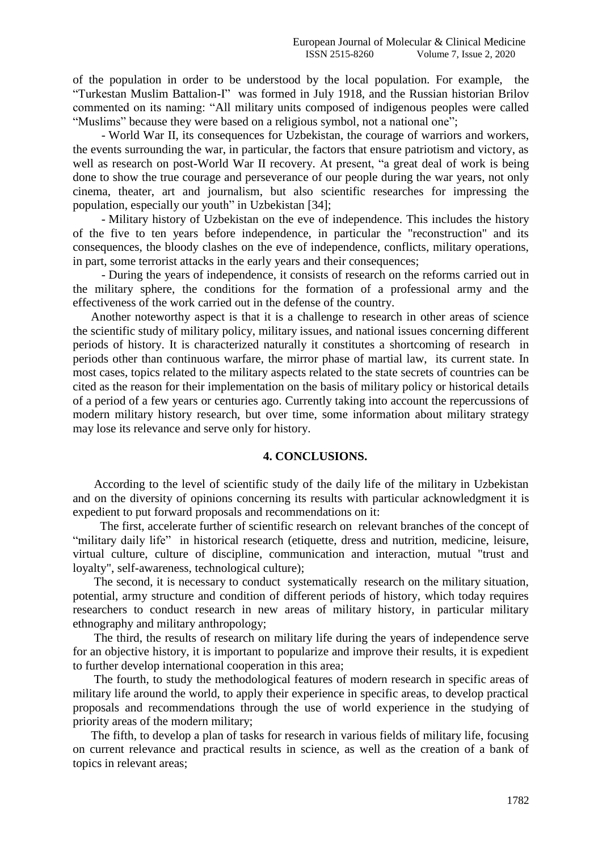of the population in order to be understood by the local population. For example, the "Turkestan Muslim Battalion-I" was formed in July 1918, and the Russian historian Brilov commented on its naming: "All military units composed of indigenous peoples were called "Muslims" because they were based on a religious symbol, not a national one";

- World War II, its consequences for Uzbekistan, the courage of warriors and workers, the events surrounding the war, in particular, the factors that ensure patriotism and victory, as well as research on post-World War II recovery. At present, "a great deal of work is being done to show the true courage and perseverance of our people during the war years, not only cinema, theater, art and journalism, but also scientific researches for impressing the population, especially our youth" in Uzbekistan [34];

- Military history of Uzbekistan on the eve of independence. This includes the history of the five to ten years before independence, in particular the "reconstruction" and its consequences, the bloody clashes on the eve of independence, conflicts, military operations, in part, some terrorist attacks in the early years and their consequences;

- During the years of independence, it consists of research on the reforms carried out in the military sphere, the conditions for the formation of a professional army and the effectiveness of the work carried out in the defense of the country.

 Another noteworthy aspect is that it is a challenge to research in other areas of science the scientific study of military policy, military issues, and national issues concerning different periods of history. It is characterized naturally it constitutes a shortcoming of research in periods other than continuous warfare, the mirror phase of martial law, its current state. In most cases, topics related to the military aspects related to the state secrets of countries can be cited as the reason for their implementation on the basis of military policy or historical details of a period of a few years or centuries ago. Currently taking into account the repercussions of modern military history research, but over time, some information about military strategy may lose its relevance and serve only for history.

### **4. CONCLUSIONS.**

 According to the level of scientific study of the daily life of the military in Uzbekistan and on the diversity of opinions concerning its results with particular acknowledgment it is expedient to put forward proposals and recommendations on it:

 The first, accelerate further of scientific research on relevant branches of the concept of "military daily life" in historical research (etiquette, dress and nutrition, medicine, leisure, virtual culture, culture of discipline, communication and interaction, mutual "trust and loyalty", self-awareness, technological culture);

 The second, it is necessary to conduct systematically research on the military situation, potential, army structure and condition of different periods of history, which today requires researchers to conduct research in new areas of military history, in particular military ethnography and military anthropology;

 The third, the results of research on military life during the years of independence serve for an objective history, it is important to popularize and improve their results, it is expedient to further develop international cooperation in this area;

 The fourth, to study the methodological features of modern research in specific areas of military life around the world, to apply their experience in specific areas, to develop practical proposals and recommendations through the use of world experience in the studying of priority areas of the modern military;

 The fifth, to develop a plan of tasks for research in various fields of military life, focusing on current relevance and practical results in science, as well as the creation of a bank of topics in relevant areas;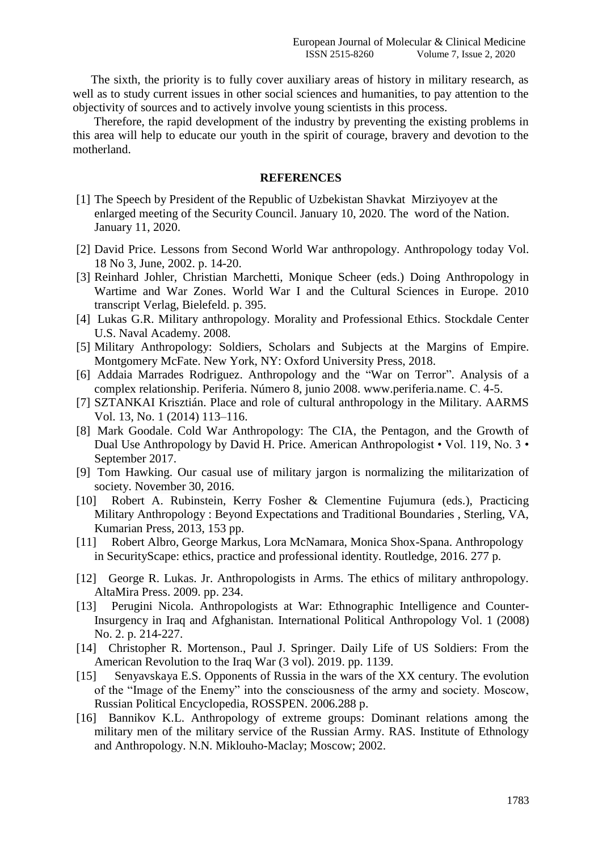The sixth, the priority is to fully cover auxiliary areas of history in military research, as well as to study current issues in other social sciences and humanities, to pay attention to the objectivity of sources and to actively involve young scientists in this process.

 Therefore, the rapid development of the industry by preventing the existing problems in this area will help to educate our youth in the spirit of courage, bravery and devotion to the motherland.

#### **REFERENCES**

- [1] The Speech by President of the Republic of Uzbekistan Shavkat Mirziyoyev at the enlarged meeting of the Security Council. January 10, 2020. The word of the Nation. January 11, 2020.
- [2] David Price. Lessons from Second World War anthropology. Anthropology today Vol. 18 No 3, June, 2002. p. 14-20.
- [3] Reinhard Johler, Christian Marchetti, Monique Scheer (eds.) Doing Anthropology in Wartime and War Zones. World War I and the Cultural Sciences in Europe. 2010 transcript Verlag, Bielefeld. p. 395.
- [4] Lukas G.R. Military anthropology. Morality and Professional Ethics. Stockdale Center U.S. Naval Academy. 2008.
- [5] [Military Anthropology: Soldiers, Scholars and Subjects at the Margins of Empire.](https://smile.amazon.com/Military-Anthropology-Soldiers-Scholars-Subjects/dp/0190680172/ref=sr_1_1) Montgomery McFate. New York, NY: Oxford University Press, 2018.
- [6] Addaia Marrades Rodriguez. Anthropology and the "War on Terror". Analysis of a complex relationship. Periferia. Número 8, junio 2008. [www.periferia.name.](http://www.periferia.name/) С. 4-5.
- [7] SZTANKAI Krisztián. Place and role of cultural anthropology in the Military. AARMS Vol. 13, No. 1 (2014) 113–116.
- [8] Mark Goodale. Cold War Anthropology: The CIA, the Pentagon, and the Growth of Dual Use Anthropology by David H. Price. American Anthropologist • Vol. 119, No. 3 • September 2017.
- [9] Tom Hawking. Our casual use of military jargon is normalizing the militarization of society. November 30, 2016.
- [10] Robert A. Rubinstein, Kerry Fosher & Clementine Fujumura (eds.), Practicing Military Anthropology : Beyond Expectations and Traditional Boundaries , Sterling, VA, Kumarian Press, 2013, 153 pp.
- [11] Robert Albro, George Markus, Lora McNamara, Monica Shox-Spana. Anthropology in SecurityScape: ethics, practice and professional identity. Routledge, 2016. 277 p.
- [12] George R. Lukas. Jr. Anthropologists in Arms. The ethics of military anthropology. AltaMira Press. 2009. pp. 234.
- [13] Perugini Nicola. Anthropologists at War: Ethnographic Intelligence and Counter-Insurgency in Iraq and Afghanistan. International Political Anthropology Vol. 1 (2008) No. 2. p. 214-227.
- [14] Christopher R. Mortenson., Paul J. Springer. Daily Life of US Soldiers: From the American Revolution to the Iraq War (3 vol). 2019. pp. 1139.
- [15] Senyavskaya E.S. Opponents of Russia in the wars of the XX century. The evolution of the "Image of the Enemy" into the consciousness of the army and society. Moscow, Russian Political Encyclopedia, ROSSPEN. 2006.288 p.
- [16] Bannikov K.L. Anthropology of extreme groups: Dominant relations among the military men of the military service of the Russian Army. RAS. Institute of Ethnology and Anthropology. N.N. Miklouho-Maclay; Moscow; 2002.